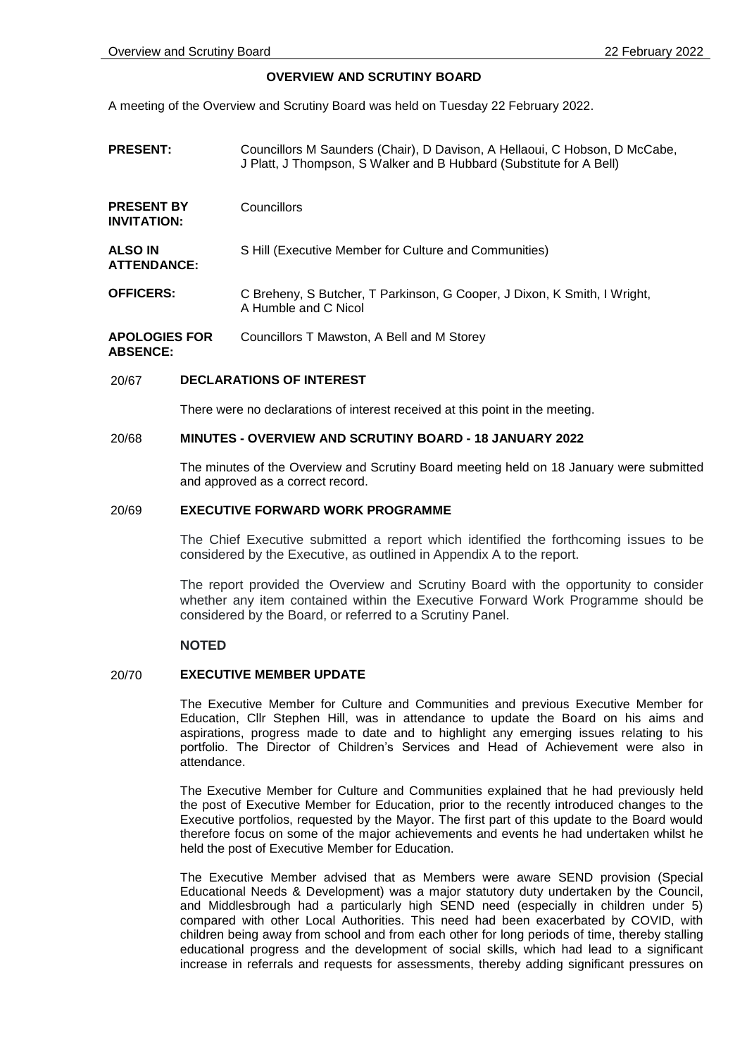## **OVERVIEW AND SCRUTINY BOARD**

A meeting of the Overview and Scrutiny Board was held on Tuesday 22 February 2022.

- **PRESENT:** Councillors M Saunders (Chair), D Davison, A Hellaoui, C Hobson, D McCabe, J Platt, J Thompson, S Walker and B Hubbard (Substitute for A Bell)
- **PRESENT BY INVITATION: Councillors ALSO IN ATTENDANCE:** S Hill (Executive Member for Culture and Communities) **OFFICERS:** C Breheny, S Butcher, T Parkinson, G Cooper, J Dixon, K Smith, I Wright,
- A Humble and C Nicol **APOLOGIES FOR**  Councillors T Mawston, A Bell and M Storey

**ABSENCE:**

### 20/67 **DECLARATIONS OF INTEREST**

There were no declarations of interest received at this point in the meeting.

### 20/68 **MINUTES - OVERVIEW AND SCRUTINY BOARD - 18 JANUARY 2022**

The minutes of the Overview and Scrutiny Board meeting held on 18 January were submitted and approved as a correct record.

### 20/69 **EXECUTIVE FORWARD WORK PROGRAMME**

The Chief Executive submitted a report which identified the forthcoming issues to be considered by the Executive, as outlined in Appendix A to the report.

The report provided the Overview and Scrutiny Board with the opportunity to consider whether any item contained within the Executive Forward Work Programme should be considered by the Board, or referred to a Scrutiny Panel.

### **NOTED**

# 20/70 **EXECUTIVE MEMBER UPDATE**

The Executive Member for Culture and Communities and previous Executive Member for Education, Cllr Stephen Hill, was in attendance to update the Board on his aims and aspirations, progress made to date and to highlight any emerging issues relating to his portfolio. The Director of Children's Services and Head of Achievement were also in attendance.

The Executive Member for Culture and Communities explained that he had previously held the post of Executive Member for Education, prior to the recently introduced changes to the Executive portfolios, requested by the Mayor. The first part of this update to the Board would therefore focus on some of the major achievements and events he had undertaken whilst he held the post of Executive Member for Education.

The Executive Member advised that as Members were aware SEND provision (Special Educational Needs & Development) was a major statutory duty undertaken by the Council, and Middlesbrough had a particularly high SEND need (especially in children under 5) compared with other Local Authorities. This need had been exacerbated by COVID, with children being away from school and from each other for long periods of time, thereby stalling educational progress and the development of social skills, which had lead to a significant increase in referrals and requests for assessments, thereby adding significant pressures on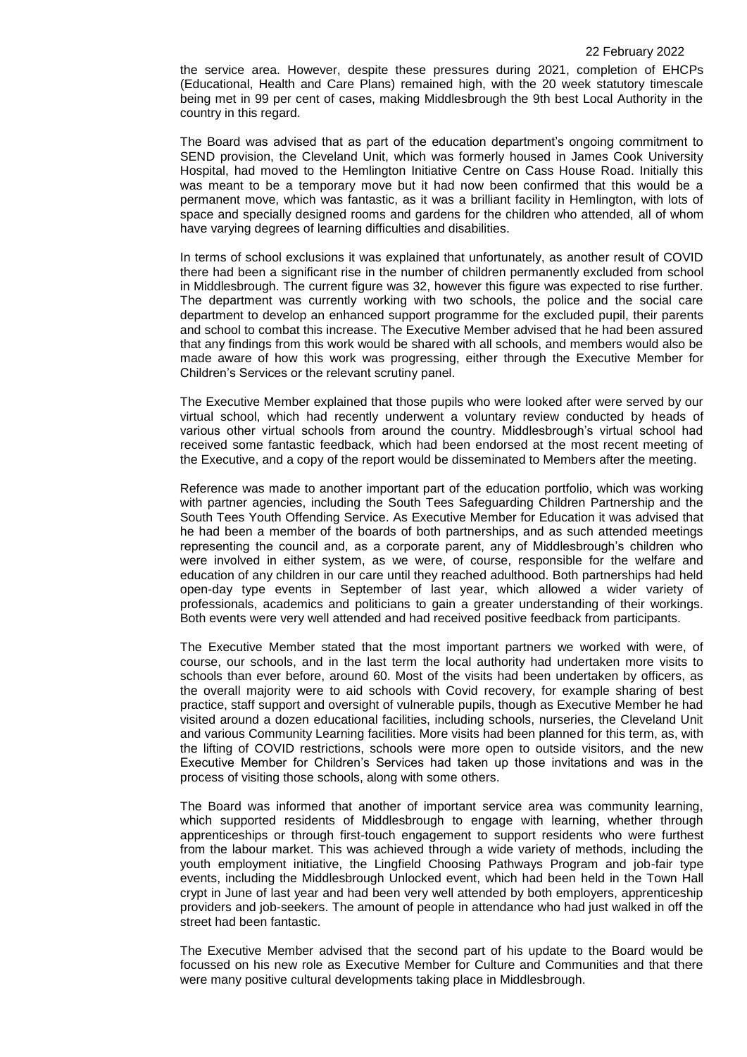the service area. However, despite these pressures during 2021, completion of EHCPs (Educational, Health and Care Plans) remained high, with the 20 week statutory timescale being met in 99 per cent of cases, making Middlesbrough the 9th best Local Authority in the country in this regard.

The Board was advised that as part of the education department's ongoing commitment to SEND provision, the Cleveland Unit, which was formerly housed in James Cook University Hospital, had moved to the Hemlington Initiative Centre on Cass House Road. Initially this was meant to be a temporary move but it had now been confirmed that this would be a permanent move, which was fantastic, as it was a brilliant facility in Hemlington, with lots of space and specially designed rooms and gardens for the children who attended, all of whom have varying degrees of learning difficulties and disabilities.

In terms of school exclusions it was explained that unfortunately, as another result of COVID there had been a significant rise in the number of children permanently excluded from school in Middlesbrough. The current figure was 32, however this figure was expected to rise further. The department was currently working with two schools, the police and the social care department to develop an enhanced support programme for the excluded pupil, their parents and school to combat this increase. The Executive Member advised that he had been assured that any findings from this work would be shared with all schools, and members would also be made aware of how this work was progressing, either through the Executive Member for Children's Services or the relevant scrutiny panel.

The Executive Member explained that those pupils who were looked after were served by our virtual school, which had recently underwent a voluntary review conducted by heads of various other virtual schools from around the country. Middlesbrough's virtual school had received some fantastic feedback, which had been endorsed at the most recent meeting of the Executive, and a copy of the report would be disseminated to Members after the meeting.

Reference was made to another important part of the education portfolio, which was working with partner agencies, including the South Tees Safeguarding Children Partnership and the South Tees Youth Offending Service. As Executive Member for Education it was advised that he had been a member of the boards of both partnerships, and as such attended meetings representing the council and, as a corporate parent, any of Middlesbrough's children who were involved in either system, as we were, of course, responsible for the welfare and education of any children in our care until they reached adulthood. Both partnerships had held open-day type events in September of last year, which allowed a wider variety of professionals, academics and politicians to gain a greater understanding of their workings. Both events were very well attended and had received positive feedback from participants.

The Executive Member stated that the most important partners we worked with were, of course, our schools, and in the last term the local authority had undertaken more visits to schools than ever before, around 60. Most of the visits had been undertaken by officers, as the overall majority were to aid schools with Covid recovery, for example sharing of best practice, staff support and oversight of vulnerable pupils, though as Executive Member he had visited around a dozen educational facilities, including schools, nurseries, the Cleveland Unit and various Community Learning facilities. More visits had been planned for this term, as, with the lifting of COVID restrictions, schools were more open to outside visitors, and the new Executive Member for Children's Services had taken up those invitations and was in the process of visiting those schools, along with some others.

The Board was informed that another of important service area was community learning, which supported residents of Middlesbrough to engage with learning, whether through apprenticeships or through first-touch engagement to support residents who were furthest from the labour market. This was achieved through a wide variety of methods, including the youth employment initiative, the Lingfield Choosing Pathways Program and job-fair type events, including the Middlesbrough Unlocked event, which had been held in the Town Hall crypt in June of last year and had been very well attended by both employers, apprenticeship providers and job-seekers. The amount of people in attendance who had just walked in off the street had been fantastic.

The Executive Member advised that the second part of his update to the Board would be focussed on his new role as Executive Member for Culture and Communities and that there were many positive cultural developments taking place in Middlesbrough.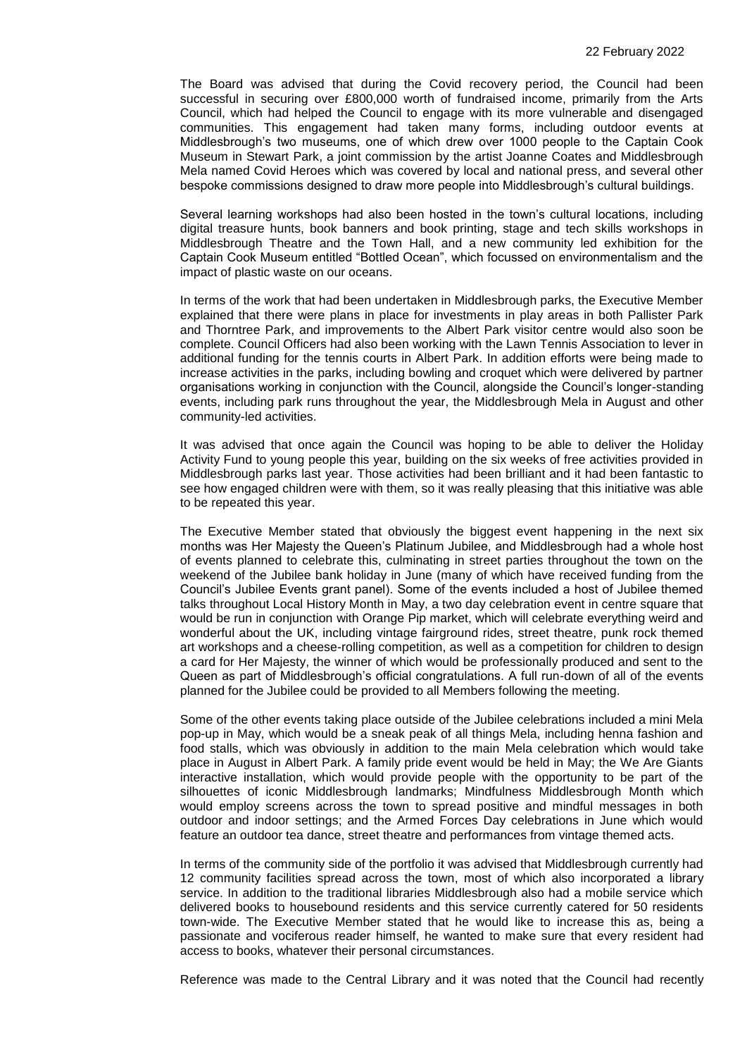The Board was advised that during the Covid recovery period, the Council had been successful in securing over £800,000 worth of fundraised income, primarily from the Arts Council, which had helped the Council to engage with its more vulnerable and disengaged communities. This engagement had taken many forms, including outdoor events at Middlesbrough's two museums, one of which drew over 1000 people to the Captain Cook Museum in Stewart Park, a joint commission by the artist Joanne Coates and Middlesbrough Mela named Covid Heroes which was covered by local and national press, and several other bespoke commissions designed to draw more people into Middlesbrough's cultural buildings.

Several learning workshops had also been hosted in the town's cultural locations, including digital treasure hunts, book banners and book printing, stage and tech skills workshops in Middlesbrough Theatre and the Town Hall, and a new community led exhibition for the Captain Cook Museum entitled "Bottled Ocean", which focussed on environmentalism and the impact of plastic waste on our oceans.

In terms of the work that had been undertaken in Middlesbrough parks, the Executive Member explained that there were plans in place for investments in play areas in both Pallister Park and Thorntree Park, and improvements to the Albert Park visitor centre would also soon be complete. Council Officers had also been working with the Lawn Tennis Association to lever in additional funding for the tennis courts in Albert Park. In addition efforts were being made to increase activities in the parks, including bowling and croquet which were delivered by partner organisations working in conjunction with the Council, alongside the Council's longer-standing events, including park runs throughout the year, the Middlesbrough Mela in August and other community-led activities.

It was advised that once again the Council was hoping to be able to deliver the Holiday Activity Fund to young people this year, building on the six weeks of free activities provided in Middlesbrough parks last year. Those activities had been brilliant and it had been fantastic to see how engaged children were with them, so it was really pleasing that this initiative was able to be repeated this year.

The Executive Member stated that obviously the biggest event happening in the next six months was Her Majesty the Queen's Platinum Jubilee, and Middlesbrough had a whole host of events planned to celebrate this, culminating in street parties throughout the town on the weekend of the Jubilee bank holiday in June (many of which have received funding from the Council's Jubilee Events grant panel). Some of the events included a host of Jubilee themed talks throughout Local History Month in May, a two day celebration event in centre square that would be run in conjunction with Orange Pip market, which will celebrate everything weird and wonderful about the UK, including vintage fairground rides, street theatre, punk rock themed art workshops and a cheese-rolling competition, as well as a competition for children to design a card for Her Majesty, the winner of which would be professionally produced and sent to the Queen as part of Middlesbrough's official congratulations. A full run-down of all of the events planned for the Jubilee could be provided to all Members following the meeting.

Some of the other events taking place outside of the Jubilee celebrations included a mini Mela pop-up in May, which would be a sneak peak of all things Mela, including henna fashion and food stalls, which was obviously in addition to the main Mela celebration which would take place in August in Albert Park. A family pride event would be held in May; the We Are Giants interactive installation, which would provide people with the opportunity to be part of the silhouettes of iconic Middlesbrough landmarks; Mindfulness Middlesbrough Month which would employ screens across the town to spread positive and mindful messages in both outdoor and indoor settings; and the Armed Forces Day celebrations in June which would feature an outdoor tea dance, street theatre and performances from vintage themed acts.

In terms of the community side of the portfolio it was advised that Middlesbrough currently had 12 community facilities spread across the town, most of which also incorporated a library service. In addition to the traditional libraries Middlesbrough also had a mobile service which delivered books to housebound residents and this service currently catered for 50 residents town-wide. The Executive Member stated that he would like to increase this as, being a passionate and vociferous reader himself, he wanted to make sure that every resident had access to books, whatever their personal circumstances.

Reference was made to the Central Library and it was noted that the Council had recently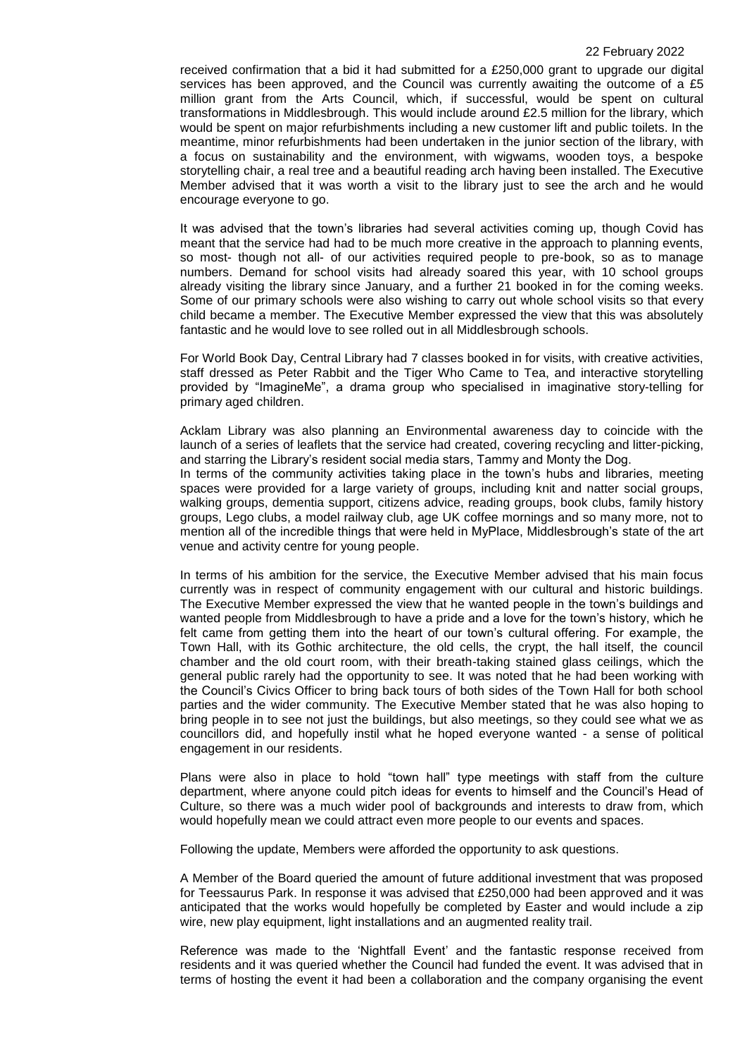received confirmation that a bid it had submitted for a £250,000 grant to upgrade our digital services has been approved, and the Council was currently awaiting the outcome of a £5 million grant from the Arts Council, which, if successful, would be spent on cultural transformations in Middlesbrough. This would include around £2.5 million for the library, which would be spent on major refurbishments including a new customer lift and public toilets. In the meantime, minor refurbishments had been undertaken in the junior section of the library, with a focus on sustainability and the environment, with wigwams, wooden toys, a bespoke storytelling chair, a real tree and a beautiful reading arch having been installed. The Executive Member advised that it was worth a visit to the library just to see the arch and he would encourage everyone to go.

It was advised that the town's libraries had several activities coming up, though Covid has meant that the service had had to be much more creative in the approach to planning events, so most- though not all- of our activities required people to pre-book, so as to manage numbers. Demand for school visits had already soared this year, with 10 school groups already visiting the library since January, and a further 21 booked in for the coming weeks. Some of our primary schools were also wishing to carry out whole school visits so that every child became a member. The Executive Member expressed the view that this was absolutely fantastic and he would love to see rolled out in all Middlesbrough schools.

For World Book Day, Central Library had 7 classes booked in for visits, with creative activities, staff dressed as Peter Rabbit and the Tiger Who Came to Tea, and interactive storytelling provided by "ImagineMe", a drama group who specialised in imaginative story-telling for primary aged children.

Acklam Library was also planning an Environmental awareness day to coincide with the launch of a series of leaflets that the service had created, covering recycling and litter-picking, and starring the Library's resident social media stars, Tammy and Monty the Dog.

In terms of the community activities taking place in the town's hubs and libraries, meeting spaces were provided for a large variety of groups, including knit and natter social groups, walking groups, dementia support, citizens advice, reading groups, book clubs, family history groups, Lego clubs, a model railway club, age UK coffee mornings and so many more, not to mention all of the incredible things that were held in MyPlace, Middlesbrough's state of the art venue and activity centre for young people.

In terms of his ambition for the service, the Executive Member advised that his main focus currently was in respect of community engagement with our cultural and historic buildings. The Executive Member expressed the view that he wanted people in the town's buildings and wanted people from Middlesbrough to have a pride and a love for the town's history, which he felt came from getting them into the heart of our town's cultural offering. For example, the Town Hall, with its Gothic architecture, the old cells, the crypt, the hall itself, the council chamber and the old court room, with their breath-taking stained glass ceilings, which the general public rarely had the opportunity to see. It was noted that he had been working with the Council's Civics Officer to bring back tours of both sides of the Town Hall for both school parties and the wider community. The Executive Member stated that he was also hoping to bring people in to see not just the buildings, but also meetings, so they could see what we as councillors did, and hopefully instil what he hoped everyone wanted - a sense of political engagement in our residents.

Plans were also in place to hold "town hall" type meetings with staff from the culture department, where anyone could pitch ideas for events to himself and the Council's Head of Culture, so there was a much wider pool of backgrounds and interests to draw from, which would hopefully mean we could attract even more people to our events and spaces.

Following the update, Members were afforded the opportunity to ask questions.

A Member of the Board queried the amount of future additional investment that was proposed for Teessaurus Park. In response it was advised that £250,000 had been approved and it was anticipated that the works would hopefully be completed by Easter and would include a zip wire, new play equipment, light installations and an augmented reality trail.

Reference was made to the 'Nightfall Event' and the fantastic response received from residents and it was queried whether the Council had funded the event. It was advised that in terms of hosting the event it had been a collaboration and the company organising the event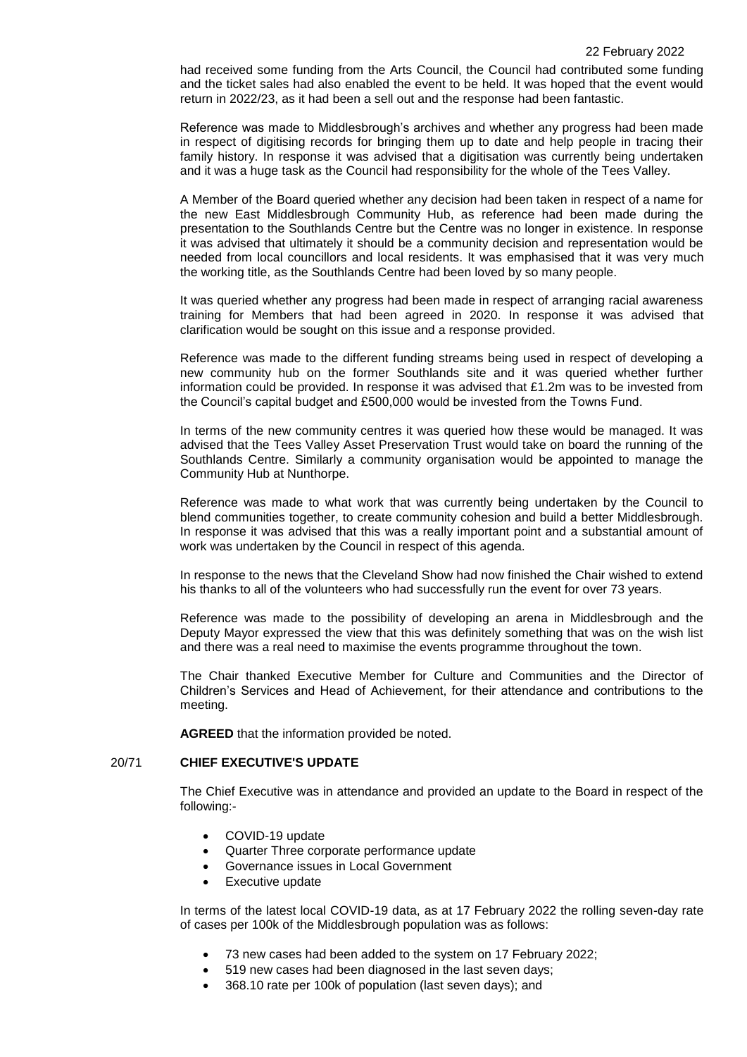had received some funding from the Arts Council, the Council had contributed some funding and the ticket sales had also enabled the event to be held. It was hoped that the event would return in 2022/23, as it had been a sell out and the response had been fantastic.

Reference was made to Middlesbrough's archives and whether any progress had been made in respect of digitising records for bringing them up to date and help people in tracing their family history. In response it was advised that a digitisation was currently being undertaken and it was a huge task as the Council had responsibility for the whole of the Tees Valley.

A Member of the Board queried whether any decision had been taken in respect of a name for the new East Middlesbrough Community Hub, as reference had been made during the presentation to the Southlands Centre but the Centre was no longer in existence. In response it was advised that ultimately it should be a community decision and representation would be needed from local councillors and local residents. It was emphasised that it was very much the working title, as the Southlands Centre had been loved by so many people.

It was queried whether any progress had been made in respect of arranging racial awareness training for Members that had been agreed in 2020. In response it was advised that clarification would be sought on this issue and a response provided.

Reference was made to the different funding streams being used in respect of developing a new community hub on the former Southlands site and it was queried whether further information could be provided. In response it was advised that £1.2m was to be invested from the Council's capital budget and £500,000 would be invested from the Towns Fund.

In terms of the new community centres it was queried how these would be managed. It was advised that the Tees Valley Asset Preservation Trust would take on board the running of the Southlands Centre. Similarly a community organisation would be appointed to manage the Community Hub at Nunthorpe.

Reference was made to what work that was currently being undertaken by the Council to blend communities together, to create community cohesion and build a better Middlesbrough. In response it was advised that this was a really important point and a substantial amount of work was undertaken by the Council in respect of this agenda.

In response to the news that the Cleveland Show had now finished the Chair wished to extend his thanks to all of the volunteers who had successfully run the event for over 73 years.

Reference was made to the possibility of developing an arena in Middlesbrough and the Deputy Mayor expressed the view that this was definitely something that was on the wish list and there was a real need to maximise the events programme throughout the town.

The Chair thanked Executive Member for Culture and Communities and the Director of Children's Services and Head of Achievement, for their attendance and contributions to the meeting.

**AGREED** that the information provided be noted.

# 20/71 **CHIEF EXECUTIVE'S UPDATE**

The Chief Executive was in attendance and provided an update to the Board in respect of the following:-

- COVID-19 update
- Quarter Three corporate performance update
- Governance issues in Local Government
- Executive update

In terms of the latest local COVID-19 data, as at 17 February 2022 the rolling seven-day rate of cases per 100k of the Middlesbrough population was as follows:

- 73 new cases had been added to the system on 17 February 2022;
- 519 new cases had been diagnosed in the last seven days;
- 368.10 rate per 100k of population (last seven days); and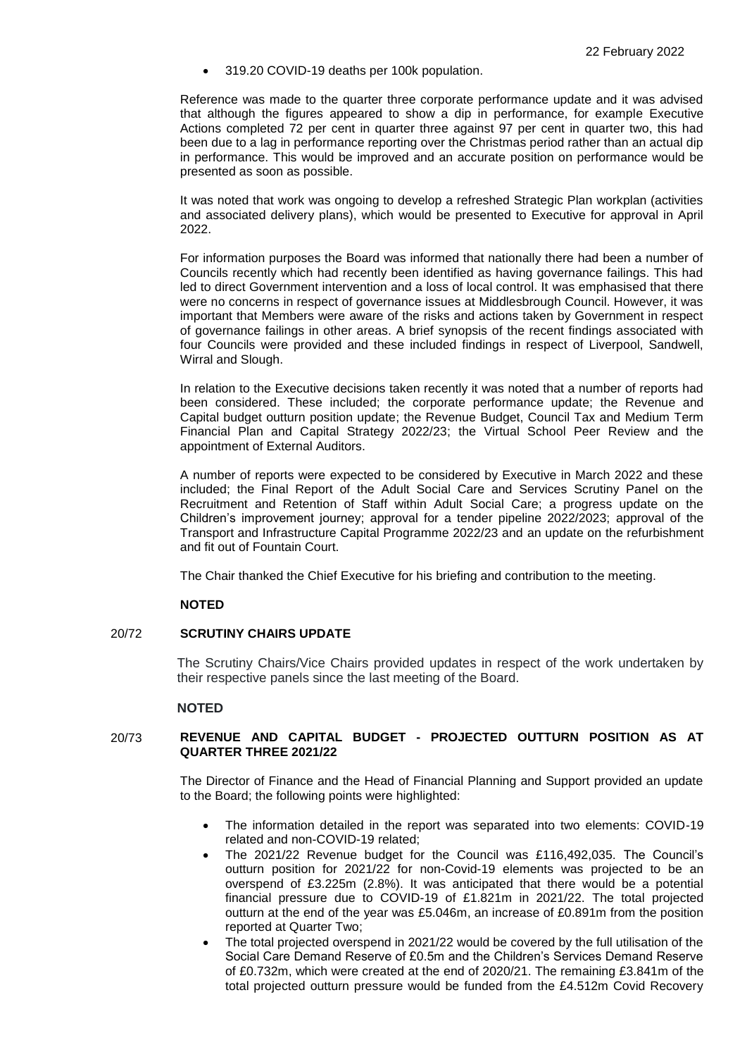319.20 COVID-19 deaths per 100k population.

Reference was made to the quarter three corporate performance update and it was advised that although the figures appeared to show a dip in performance, for example Executive Actions completed 72 per cent in quarter three against 97 per cent in quarter two, this had been due to a lag in performance reporting over the Christmas period rather than an actual dip in performance. This would be improved and an accurate position on performance would be presented as soon as possible.

It was noted that work was ongoing to develop a refreshed Strategic Plan workplan (activities and associated delivery plans), which would be presented to Executive for approval in April 2022.

For information purposes the Board was informed that nationally there had been a number of Councils recently which had recently been identified as having governance failings. This had led to direct Government intervention and a loss of local control. It was emphasised that there were no concerns in respect of governance issues at Middlesbrough Council. However, it was important that Members were aware of the risks and actions taken by Government in respect of governance failings in other areas. A brief synopsis of the recent findings associated with four Councils were provided and these included findings in respect of Liverpool, Sandwell, Wirral and Slough.

In relation to the Executive decisions taken recently it was noted that a number of reports had been considered. These included; the corporate performance update; the Revenue and Capital budget outturn position update; the Revenue Budget, Council Tax and Medium Term Financial Plan and Capital Strategy 2022/23; the Virtual School Peer Review and the appointment of External Auditors.

A number of reports were expected to be considered by Executive in March 2022 and these included; the Final Report of the Adult Social Care and Services Scrutiny Panel on the Recruitment and Retention of Staff within Adult Social Care; a progress update on the Children's improvement journey; approval for a tender pipeline 2022/2023; approval of the Transport and Infrastructure Capital Programme 2022/23 and an update on the refurbishment and fit out of Fountain Court.

The Chair thanked the Chief Executive for his briefing and contribution to the meeting.

## **NOTED**

### 20/72 **SCRUTINY CHAIRS UPDATE**

The Scrutiny Chairs/Vice Chairs provided updates in respect of the work undertaken by their respective panels since the last meeting of the Board.

### **NOTED**

## 20/73 **REVENUE AND CAPITAL BUDGET - PROJECTED OUTTURN POSITION AS AT QUARTER THREE 2021/22**

The Director of Finance and the Head of Financial Planning and Support provided an update to the Board; the following points were highlighted:

- The information detailed in the report was separated into two elements: COVID-19 related and non-COVID-19 related;
- The 2021/22 Revenue budget for the Council was £116,492,035. The Council's outturn position for 2021/22 for non-Covid-19 elements was projected to be an overspend of £3.225m (2.8%). It was anticipated that there would be a potential financial pressure due to COVID-19 of £1.821m in 2021/22. The total projected outturn at the end of the year was £5.046m, an increase of £0.891m from the position reported at Quarter Two;
- The total projected overspend in 2021/22 would be covered by the full utilisation of the Social Care Demand Reserve of £0.5m and the Children's Services Demand Reserve of £0.732m, which were created at the end of 2020/21. The remaining £3.841m of the total projected outturn pressure would be funded from the £4.512m Covid Recovery